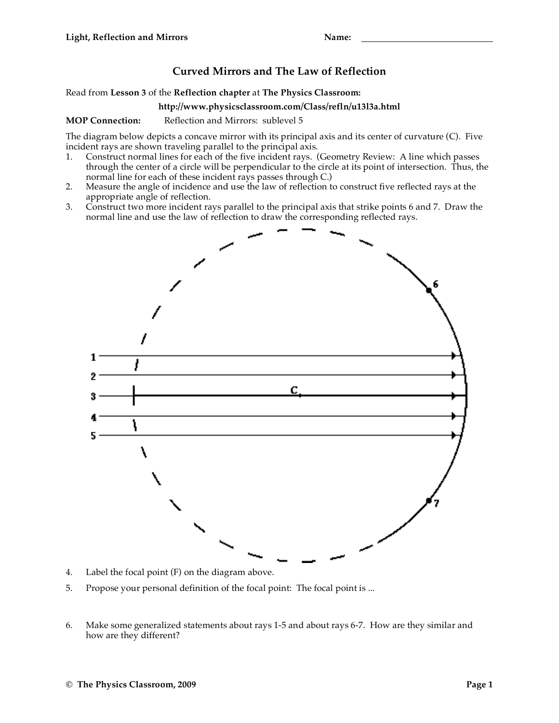## **Curved Mirrors and The Law of Reflection**

Read from **Lesson 3** of the **Reflection chapter** at **The Physics Classroom:**

## **http://www.physicsclassroom.com/Class/refln/u13l3a.html**

**MOP Connection:** Reflection and Mirrors: sublevel 5

The diagram below depicts a concave mirror with its principal axis and its center of curvature (C). Five incident rays are shown traveling parallel to the principal axis.

- 1. Construct normal lines for each of the five incident rays. (Geometry Review: A line which passes through the center of a circle will be perpendicular to the circle at its point of intersection. Thus, the normal line for each of these incident rays passes through C.)
- 2. Measure the angle of incidence and use the law of reflection to construct five reflected rays at the appropriate angle of reflection.
- 3. Construct two more incident rays parallel to the principal axis that strike points 6 and 7. Draw the normal line and use the law of reflection to draw the corresponding reflected rays.



- 4. Label the focal point (F) on the diagram above.
- 5. Propose your personal definition of the focal point: The focal point is ...
- 6. Make some generalized statements about rays 1-5 and about rays 6-7. How are they similar and how are they different?